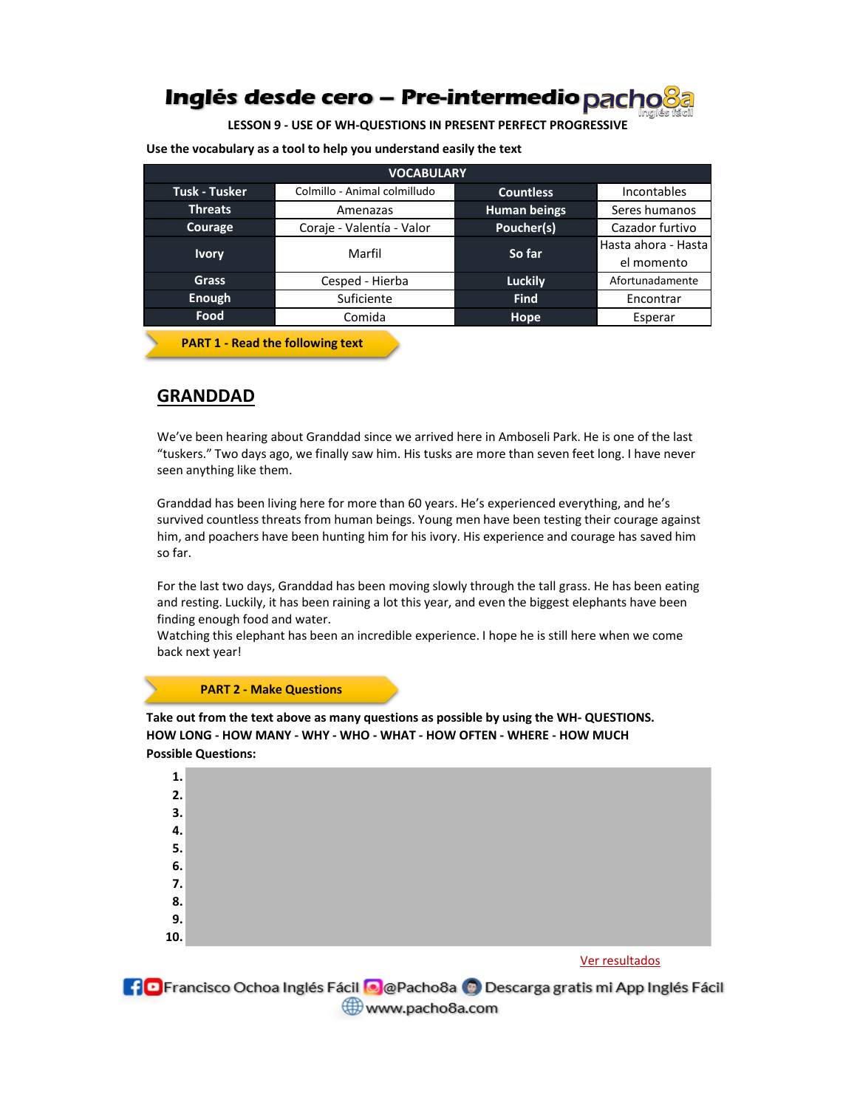## **Inglés desde cero – Pre-intermedio pacho<sup>8</sup>a**

**LESSON 9 - USE OF WH-QUESTIONS IN PRESENT PERFECT PROGRESSIVE**

**Use the vocabulary as a tool to help you understand easily the text**

| <b>VOCABULARY</b>    |                              |                     |                                   |
|----------------------|------------------------------|---------------------|-----------------------------------|
| <b>Tusk - Tusker</b> | Colmillo - Animal colmilludo | <b>Countless</b>    | <b>Incontables</b>                |
| <b>Threats</b>       | Amenazas                     | <b>Human beings</b> | Seres humanos                     |
| Courage              | Coraje - Valentía - Valor    | Poucher(s)          | Cazador furtivo                   |
| <b>Ivory</b>         | Marfil                       | So far              | Hasta ahora - Hasta<br>el momento |
| <b>Grass</b>         | Cesped - Hierba              | <b>Luckily</b>      | Afortunadamente                   |
| Enough               | Suficiente                   | <b>Find</b>         | Encontrar                         |
| Food                 | Comida                       | Hope                | Esperar                           |

**PART 1 - Read the following text**

## **GRANDDAD**

We've been hearing about Granddad since we arrived here in Amboseli Park. He is one of the last "tuskers." Two days ago, we finally saw him. His tusks are more than seven feet long. I have never seen anything like them.

Granddad has been living here for more than 60 years. He's experienced everything, and he's survived countless threats from human beings. Young men have been testing their courage against him, and poachers have been hunting him for his ivory. His experience and courage has saved him so far.

For the last two days, Granddad has been moving slowly through the tall grass. He has been eating and resting. Luckily, it has been raining a lot this year, and even the biggest elephants have been finding enough food and water.

Watching this elephant has been an incredible experience. I hope he is still here when we come back next year!

### **PART 2 - Make Questions**

**Possible Questions: Take out from the text above as many questions as possible by using the WH- QUESTIONS. HOW LONG - HOW MANY - WHY - WHO - WHAT - HOW OFTEN - WHERE - HOW MUCH**



**C** Francisco Ochoa Inglés Fácil **O** @Pacho8a © Descarga gratis mi App Inglés Fácil www.pacho8a.com